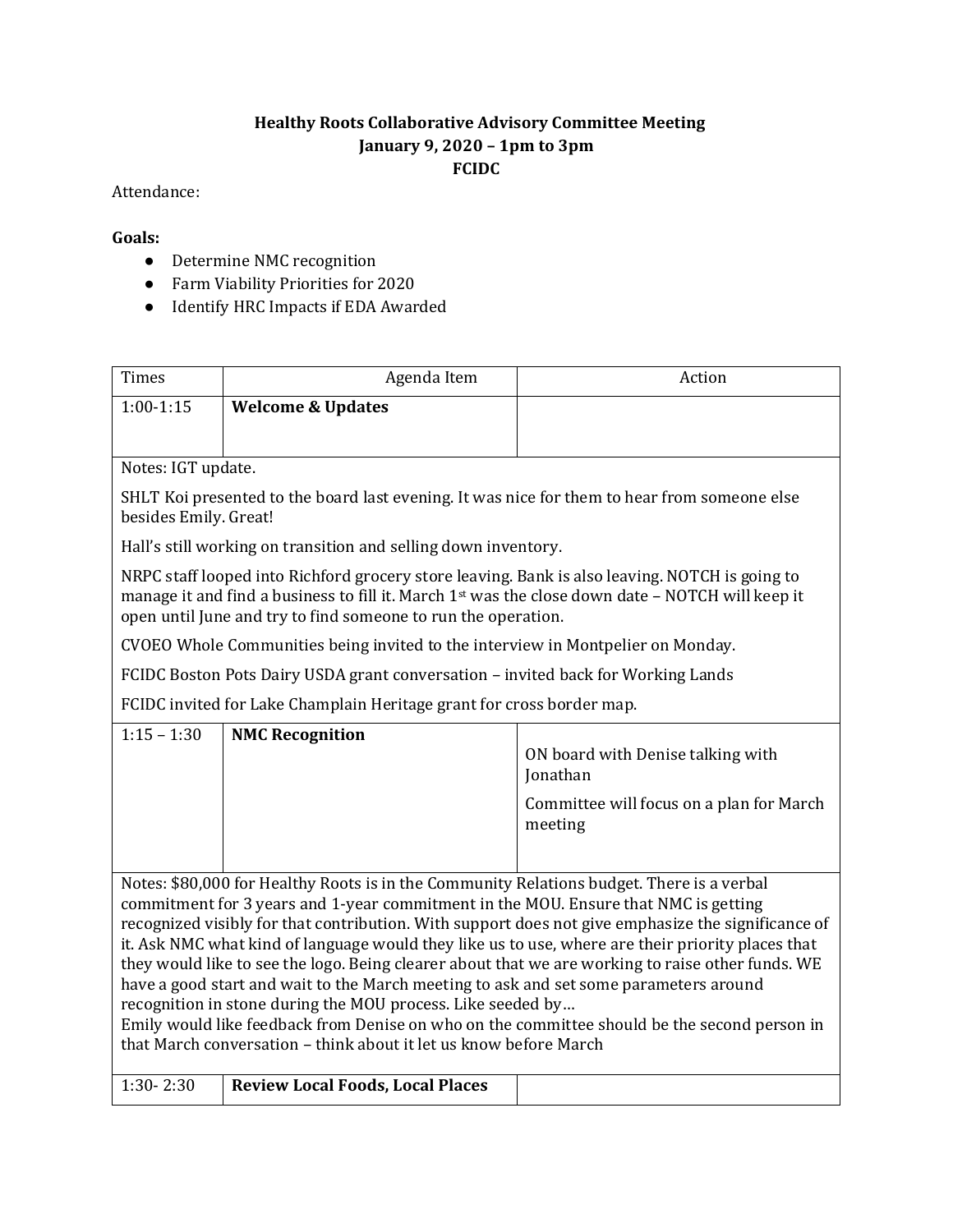## **Healthy Roots Collaborative Advisory Committee Meeting January 9, 2020 – 1pm to 3pm FCIDC**

## Attendance:

## **Goals:**

- Determine NMC recognition
- Farm Viability Priorities for 2020
- Identify HRC Impacts if EDA Awarded

| <b>Times</b>                                                                                                                                                                                                                                                                                                                                                                                                                                                                                                                                                                                                                                                                                                                                                                                                                  | Agenda Item                             | Action                                                                                               |  |
|-------------------------------------------------------------------------------------------------------------------------------------------------------------------------------------------------------------------------------------------------------------------------------------------------------------------------------------------------------------------------------------------------------------------------------------------------------------------------------------------------------------------------------------------------------------------------------------------------------------------------------------------------------------------------------------------------------------------------------------------------------------------------------------------------------------------------------|-----------------------------------------|------------------------------------------------------------------------------------------------------|--|
| $1:00-1:15$                                                                                                                                                                                                                                                                                                                                                                                                                                                                                                                                                                                                                                                                                                                                                                                                                   | <b>Welcome &amp; Updates</b>            |                                                                                                      |  |
|                                                                                                                                                                                                                                                                                                                                                                                                                                                                                                                                                                                                                                                                                                                                                                                                                               |                                         |                                                                                                      |  |
| Notes: IGT update.                                                                                                                                                                                                                                                                                                                                                                                                                                                                                                                                                                                                                                                                                                                                                                                                            |                                         |                                                                                                      |  |
| SHLT Koi presented to the board last evening. It was nice for them to hear from someone else<br>besides Emily. Great!                                                                                                                                                                                                                                                                                                                                                                                                                                                                                                                                                                                                                                                                                                         |                                         |                                                                                                      |  |
| Hall's still working on transition and selling down inventory.                                                                                                                                                                                                                                                                                                                                                                                                                                                                                                                                                                                                                                                                                                                                                                |                                         |                                                                                                      |  |
| NRPC staff looped into Richford grocery store leaving. Bank is also leaving. NOTCH is going to<br>manage it and find a business to fill it. March 1 <sup>st</sup> was the close down date - NOTCH will keep it<br>open until June and try to find someone to run the operation.                                                                                                                                                                                                                                                                                                                                                                                                                                                                                                                                               |                                         |                                                                                                      |  |
| CVOEO Whole Communities being invited to the interview in Montpelier on Monday.                                                                                                                                                                                                                                                                                                                                                                                                                                                                                                                                                                                                                                                                                                                                               |                                         |                                                                                                      |  |
| FCIDC Boston Pots Dairy USDA grant conversation - invited back for Working Lands                                                                                                                                                                                                                                                                                                                                                                                                                                                                                                                                                                                                                                                                                                                                              |                                         |                                                                                                      |  |
| FCIDC invited for Lake Champlain Heritage grant for cross border map.                                                                                                                                                                                                                                                                                                                                                                                                                                                                                                                                                                                                                                                                                                                                                         |                                         |                                                                                                      |  |
| $1:15 - 1:30$                                                                                                                                                                                                                                                                                                                                                                                                                                                                                                                                                                                                                                                                                                                                                                                                                 | <b>NMC Recognition</b>                  | ON board with Denise talking with<br>Jonathan<br>Committee will focus on a plan for March<br>meeting |  |
|                                                                                                                                                                                                                                                                                                                                                                                                                                                                                                                                                                                                                                                                                                                                                                                                                               |                                         |                                                                                                      |  |
| Notes: \$80,000 for Healthy Roots is in the Community Relations budget. There is a verbal<br>commitment for 3 years and 1-year commitment in the MOU. Ensure that NMC is getting<br>recognized visibly for that contribution. With support does not give emphasize the significance of<br>it. Ask NMC what kind of language would they like us to use, where are their priority places that<br>they would like to see the logo. Being clearer about that we are working to raise other funds. WE<br>have a good start and wait to the March meeting to ask and set some parameters around<br>recognition in stone during the MOU process. Like seeded by<br>Emily would like feedback from Denise on who on the committee should be the second person in<br>that March conversation - think about it let us know before March |                                         |                                                                                                      |  |
| $1:30 - 2:30$                                                                                                                                                                                                                                                                                                                                                                                                                                                                                                                                                                                                                                                                                                                                                                                                                 | <b>Review Local Foods, Local Places</b> |                                                                                                      |  |